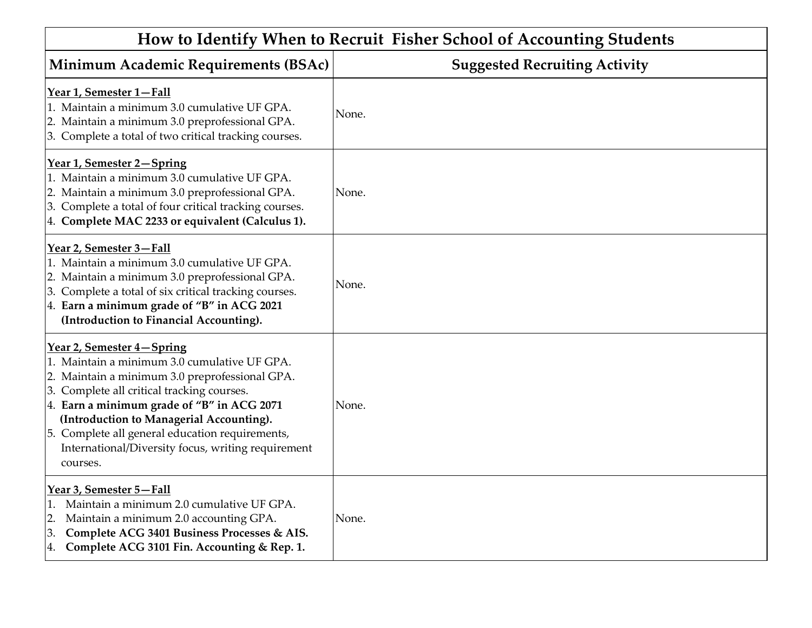| How to Identify When to Recruit Fisher School of Accounting Students                                                                                                                                                                                                                                                                                                                     |                                      |  |
|------------------------------------------------------------------------------------------------------------------------------------------------------------------------------------------------------------------------------------------------------------------------------------------------------------------------------------------------------------------------------------------|--------------------------------------|--|
| Minimum Academic Requirements (BSAc)                                                                                                                                                                                                                                                                                                                                                     | <b>Suggested Recruiting Activity</b> |  |
| Year 1, Semester 1-Fall<br>1. Maintain a minimum 3.0 cumulative UF GPA.<br>2. Maintain a minimum 3.0 preprofessional GPA.<br>3. Complete a total of two critical tracking courses.                                                                                                                                                                                                       | None.                                |  |
| Year 1, Semester 2-Spring<br>1. Maintain a minimum 3.0 cumulative UF GPA.<br>2. Maintain a minimum 3.0 preprofessional GPA.<br>3. Complete a total of four critical tracking courses.<br>4. Complete MAC 2233 or equivalent (Calculus 1).                                                                                                                                                | None.                                |  |
| Year 2, Semester 3-Fall<br>1. Maintain a minimum 3.0 cumulative UF GPA.<br>2. Maintain a minimum 3.0 preprofessional GPA.<br>3. Complete a total of six critical tracking courses.<br>4. Earn a minimum grade of "B" in ACG 2021<br>(Introduction to Financial Accounting).                                                                                                              | None.                                |  |
| Year 2, Semester 4–Spring<br>1. Maintain a minimum 3.0 cumulative UF GPA.<br>2. Maintain a minimum 3.0 preprofessional GPA.<br>3. Complete all critical tracking courses.<br>4. Earn a minimum grade of "B" in ACG 2071<br>(Introduction to Managerial Accounting).<br>5. Complete all general education requirements,<br>International/Diversity focus, writing requirement<br>courses. | None.                                |  |
| Year 3, Semester 5-Fall<br>Maintain a minimum 2.0 cumulative UF GPA.<br>1.<br>Maintain a minimum 2.0 accounting GPA.<br>2.<br>Complete ACG 3401 Business Processes & AIS.<br>3.<br>Complete ACG 3101 Fin. Accounting & Rep. 1.<br>4.                                                                                                                                                     | None.                                |  |